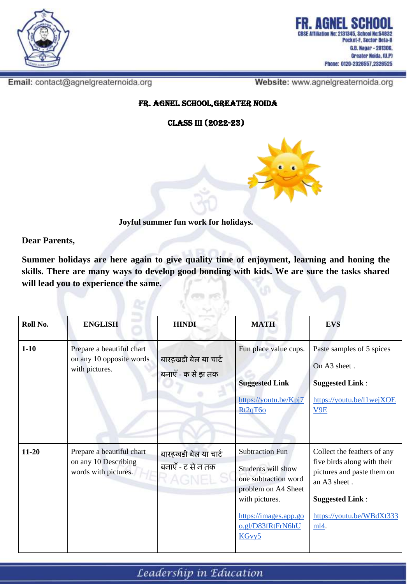

Email: contact@agnelgreaternoida.org

Website: www.agnelgreaternoida.org

Fr. Agnel School,Greater Noida

Class III (2022-23)



**Joyful summer fun work for holidays.**

**Dear Parents,**

**Summer holidays are here again to give quality time of enjoyment, learning and honing the skills. There are many ways to develop good bonding with kids. We are sure the tasks shared will lead you to experience the same.** 

ren e

| Roll No.  | <b>ENGLISH</b>                                                            | <b>HINDI</b>                              | <b>MATH</b>                                                                                                                                                          | <b>EVS</b>                                                                                                                                                              |
|-----------|---------------------------------------------------------------------------|-------------------------------------------|----------------------------------------------------------------------------------------------------------------------------------------------------------------------|-------------------------------------------------------------------------------------------------------------------------------------------------------------------------|
| $1 - 10$  | Prepare a beautiful chart<br>on any 10 opposite words<br>with pictures.   | बारहखडी बेल या चार्ट<br>बनाएँ - क से झ तक | Fun place value cups.<br><b>Suggested Link</b><br>https://youtu.be/Kpj7<br>Rt <sub>2q</sub> T <sub>6o</sub>                                                          | Paste samples of 5 spices<br>On A3 sheet.<br><b>Suggested Link:</b><br>https://youtu.be/l1wejXOE<br>V9E                                                                 |
| $11 - 20$ | Prepare a beautiful chart<br>on any 10 Describing<br>words with pictures. | बारहखडी बेल या चार्ट<br>बनाएँ - ट से न तक | <b>Subtraction Fun</b><br>Students will show<br>one subtraction word<br>problem on A4 Sheet<br>with pictures.<br>https://images.app.go<br>o.gl/D83fRtFrN6hU<br>KGvy5 | Collect the feathers of any<br>five birds along with their<br>pictures and paste them on<br>an A3 sheet.<br><b>Suggested Link:</b><br>https://youtu.be/WBdXt333<br>ml4. |

Leadership in Education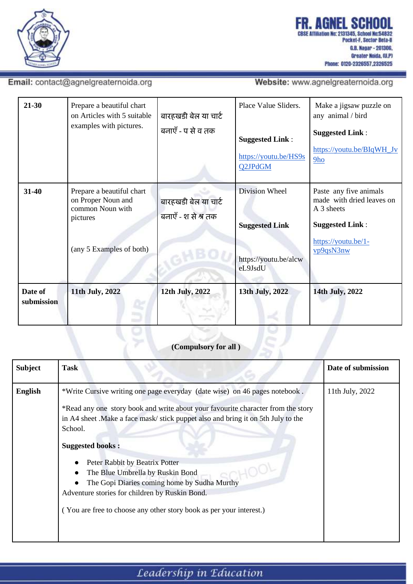

### Email: contact@agnelgreaternoida.org

Website: www.agnelgreaternoida.org

| $21 - 30$             | Prepare a beautiful chart<br>on Articles with 5 suitable<br>examples with pictures.                         | बारहखडी बेल या चार्ट<br>बनाएँ - प से व तक   | Place Value Sliders.<br><b>Suggested Link:</b><br>https://youtu.be/HS9s<br><b>Q2JPdGM</b> | Make a jigsaw puzzle on<br>any animal / bird<br><b>Suggested Link:</b><br>https://youtu.be/BIqWH_Jv<br>9 <sub>ho</sub>          |
|-----------------------|-------------------------------------------------------------------------------------------------------------|---------------------------------------------|-------------------------------------------------------------------------------------------|---------------------------------------------------------------------------------------------------------------------------------|
| $31 - 40$             | Prepare a beautiful chart<br>on Proper Noun and<br>common Noun with<br>pictures<br>(any 5 Examples of both) | बारहखडी बेल या चार्ट<br>बनाएँ - श से श्र तक | Division Wheel<br><b>Suggested Link</b><br>https://youtu.be/alcw<br>eL9JsdU               | Paste any five animals<br>made with dried leaves on<br>A 3 sheets<br><b>Suggested Link:</b><br>https://youtu.be/1-<br>vp9qsN3nw |
| Date of<br>submission | 11th July, 2022                                                                                             | 12th July, 2022                             | 13th July, 2022                                                                           | 14th July, 2022                                                                                                                 |

### (Compulsory for all)

| <b>Subject</b> | <b>Task</b>                                                                                                                                                                                                                                                                                                                                                                                                                                                                                                                            | Date of submission |
|----------------|----------------------------------------------------------------------------------------------------------------------------------------------------------------------------------------------------------------------------------------------------------------------------------------------------------------------------------------------------------------------------------------------------------------------------------------------------------------------------------------------------------------------------------------|--------------------|
| English        | *Write Cursive writing one page everyday (date wise) on 46 pages notebook.<br>*Read any one story book and write about your favourite character from the story<br>in A4 sheet. Make a face mask/stick puppet also and bring it on 5th July to the<br>School.<br><b>Suggested books:</b><br>Peter Rabbit by Beatrix Potter<br>The Blue Umbrella by Ruskin Bond<br>The Gopi Diaries coming home by Sudha Murthy<br>Adventure stories for children by Ruskin Bond.<br>(You are free to choose any other story book as per your interest.) | 11th July, 2022    |
|                |                                                                                                                                                                                                                                                                                                                                                                                                                                                                                                                                        |                    |

## Leadership in Education